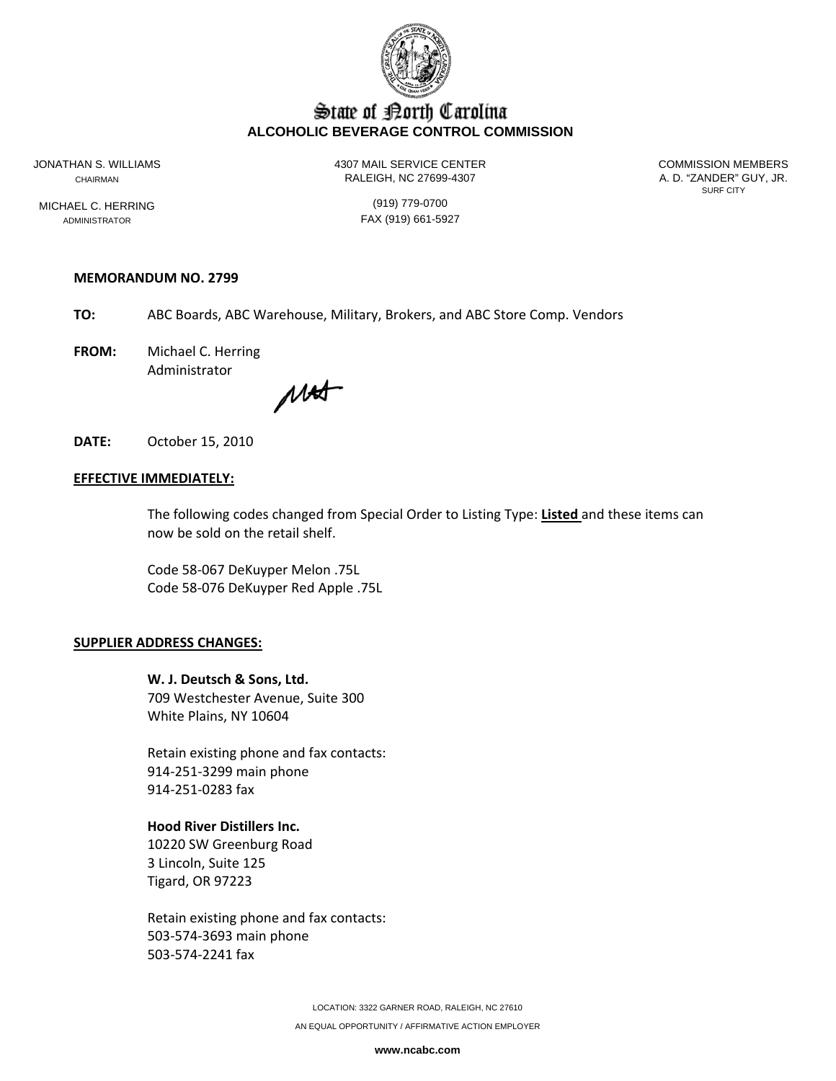

# State of Borth Carolina **ALCOHOLIC BEVERAGE CONTROL COMMISSION**

JONATHAN S. WILLIAMS 4307 MAIL SERVICE CENTER COMMISSION MEMBERS

MICHAEL C. HERRING (919) 779-0700

CHAIRMAN CHAIRMAN RALEIGH, NC 27699-4307 A. D. "ZANDER" GUY, JR.

SURF CITY

ADMINISTRATOR **FAX** (919) 661-5927

### **MEMORANDUM NO. 2799**

**TO:** ABC Boards, ABC Warehouse, Military, Brokers, and ABC Store Comp. Vendors

**FROM:** Michael C. Herring Administrator

MAT

### **DATE:** October 15, 2010

#### **EFFECTIVE IMMEDIATELY:**

The following codes changed from Special Order to Listing Type: **Listed** and these items can now be sold on the retail shelf.

Code 58‐067 DeKuyper Melon .75L Code 58‐076 DeKuyper Red Apple .75L

#### **SUPPLIER ADDRESS CHANGES:**

**W. J. Deutsch & Sons, Ltd.** 709 Westchester Avenue, Suite 300 White Plains, NY 10604

Retain existing phone and fax contacts: 914‐251‐3299 main phone 914‐251‐0283 fax

### **Hood River Distillers Inc.**

10220 SW Greenburg Road 3 Lincoln, Suite 125 Tigard, OR 97223

Retain existing phone and fax contacts: 503‐574‐3693 main phone 503‐574‐2241 fax

> LOCATION: 3322 GARNER ROAD, RALEIGH, NC 27610 AN EQUAL OPPORTUNITY / AFFIRMATIVE ACTION EMPLOYER

> > **www.ncabc.com**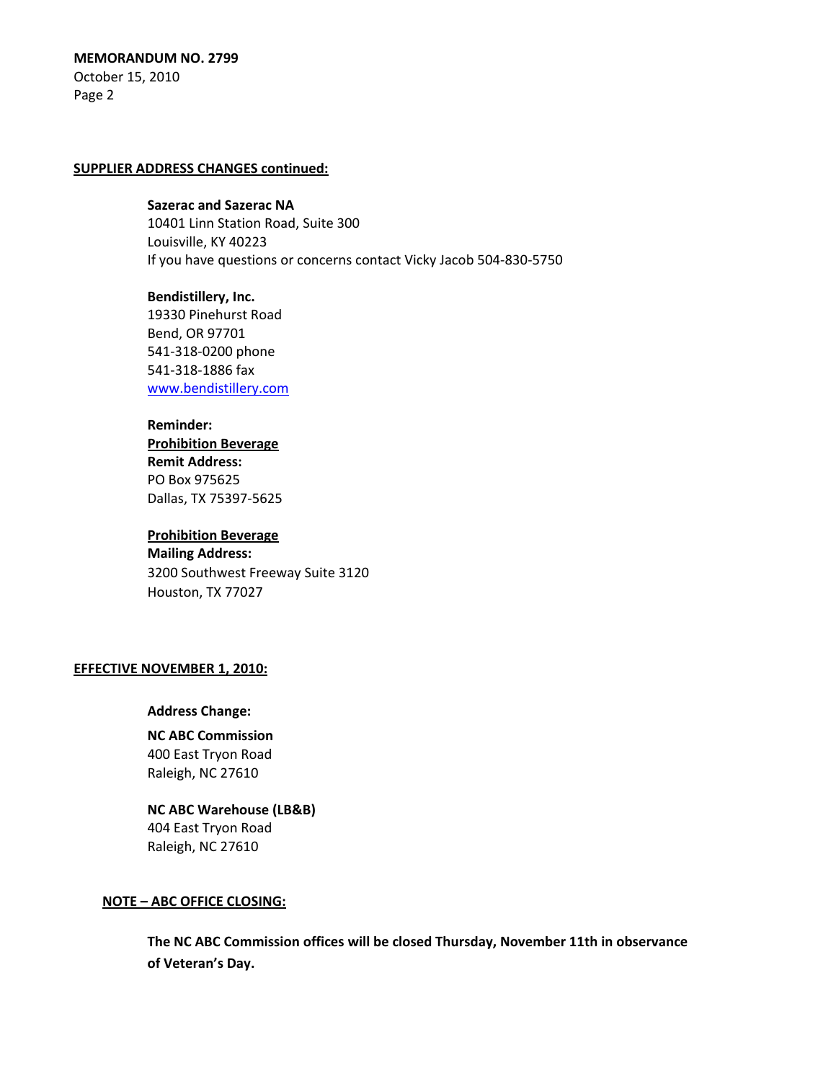### **MEMORANDUM NO. 2799**

October 15, 2010 Page 2

#### **SUPPLIER ADDRESS CHANGES continued:**

**Sazerac and Sazerac NA** 10401 Linn Station Road, Suite 300 Louisville, KY 40223 If you have questions or concerns contact Vicky Jacob 504‐830‐5750

**Bendistillery, Inc.** 19330 Pinehurst Road Bend, OR 97701 541‐318‐0200 phone 541‐318‐1886 fax [www.bendistillery.com](http://www.bendistillery.com/)

### **Reminder:**

**Prohibition Beverage Remit Address:** PO Box 975625 Dallas, TX 75397‐5625

## **Prohibition Beverage**

**Mailing Address:** 3200 Southwest Freeway Suite 3120 Houston, TX 77027

#### **EFFECTIVE NOVEMBER 1, 2010:**

**Address Change:**

**NC ABC Commission** 400 East Tryon Road Raleigh, NC 27610

**NC ABC Warehouse (LB&B)** 404 East Tryon Road Raleigh, NC 27610

### **NOTE – ABC OFFICE CLOSING:**

**The NC ABC Commission offices will be closed Thursday, November 11th in observance of Veteran's Day.**